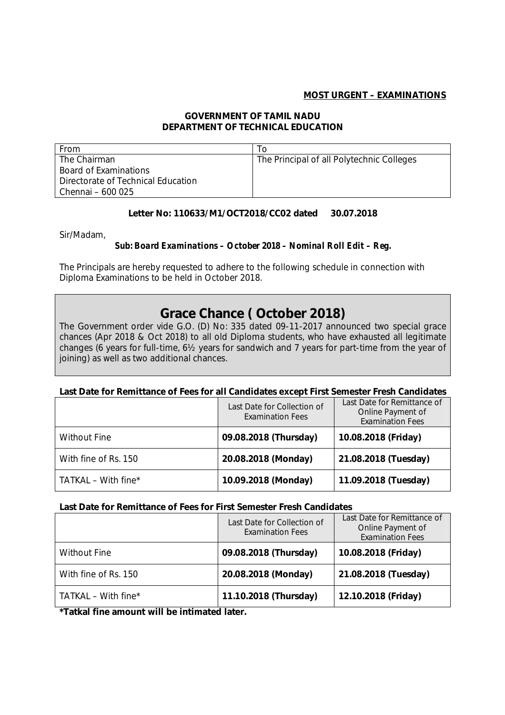## **MOST URGENT – EXAMINATIONS**

#### **GOVERNMENT OF TAMIL NADU DEPARTMENT OF TECHNICAL EDUCATION**

| From                               | To                                        |
|------------------------------------|-------------------------------------------|
| The Chairman                       | The Principal of all Polytechnic Colleges |
| Board of Examinations              |                                           |
| Directorate of Technical Education |                                           |
| Chennai – 600 025                  |                                           |

## **Letter No: 110633/M1/OCT2018/CC02 dated 30.07.2018**

Sir/Madam,

#### *Sub: Board Examinations – October 2018 – Nominal Roll Edit – Reg.*

The Principals are hereby requested to adhere to the following schedule in connection with Diploma Examinations to be held in October 2018.

# **Grace Chance ( October 2018)**

The Government order vide G.O. (D) No: 335 dated 09-11-2017 announced two special grace chances (Apr 2018 & Oct 2018) to all old Diploma students, who have exhausted all legitimate changes (6 years for full-time, 6½ years for sandwich and 7 years for part-time from the year of joining) as well as two additional chances.

#### **Last Date for Remittance of Fees for all Candidates except First Semester Fresh Candidates**

|                        | Last Date for Collection of<br><b>Examination Fees</b> | Last Date for Remittance of<br>Online Payment of<br><b>Examination Fees</b> |
|------------------------|--------------------------------------------------------|-----------------------------------------------------------------------------|
| <b>Without Fine</b>    | 09.08.2018 (Thursday)                                  | 10.08.2018 (Friday)                                                         |
| With fine of Rs. 150   | 20.08.2018 (Monday)                                    | 21.08.2018 (Tuesday)                                                        |
| TATKAL – With fine $*$ | 10.09.2018 (Monday)                                    | 11.09.2018 (Tuesday)                                                        |

#### **Last Date for Remittance of Fees for First Semester Fresh Candidates**

|                        | Last Date for Collection of<br><b>Examination Fees</b> | Last Date for Remittance of<br>Online Payment of<br><b>Examination Fees</b> |
|------------------------|--------------------------------------------------------|-----------------------------------------------------------------------------|
| <b>Without Fine</b>    | 09.08.2018 (Thursday)                                  | 10.08.2018 (Friday)                                                         |
| With fine of Rs. 150   | 20.08.2018 (Monday)                                    | 21.08.2018 (Tuesday)                                                        |
| TATKAL – With fine $*$ | 11.10.2018 (Thursday)                                  | 12.10.2018 (Friday)                                                         |

**\*Tatkal fine amount will be intimated later.**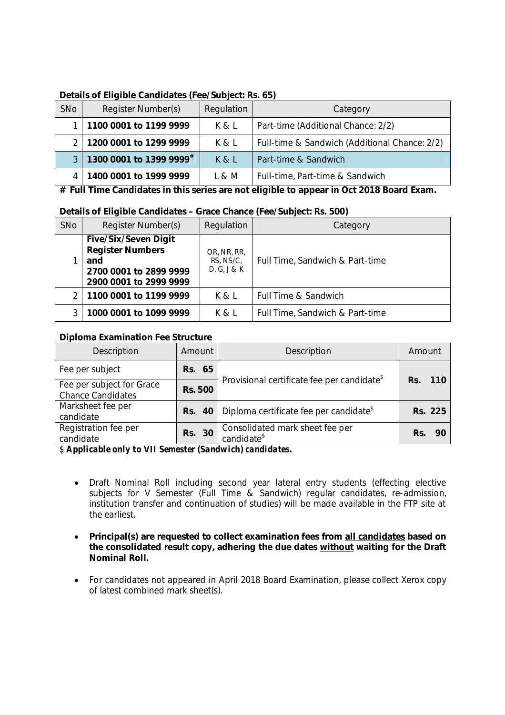| SNo | Register Number(s)      | Regulation | Category                                      |
|-----|-------------------------|------------|-----------------------------------------------|
|     | 1100 0001 to 1199 9999  | K & L      | Part-time (Additional Chance: 2/2)            |
|     | 1200 0001 to 1299 9999  | K & L      | Full-time & Sandwich (Additional Chance: 2/2) |
|     | 1300 0001 to 1399 9999# | K&L        | Part-time & Sandwich                          |
|     | 1400 0001 to 1999 9999  | L & M      | Full-time, Part-time & Sandwich               |

# **Details of Eligible Candidates (Fee/Subject: Rs. 65)**

**# Full Time Candidates in this series are not eligible to appear in Oct 2018 Board Exam.**

## **Details of Eligible Candidates – Grace Chance (Fee/Subject: Rs. 500)**

| SNo | Register Number(s)                                                                                                | Regulation                              | Category                        |
|-----|-------------------------------------------------------------------------------------------------------------------|-----------------------------------------|---------------------------------|
|     | <b>Five/Six/Seven Digit</b><br><b>Register Numbers</b><br>and<br>2700 0001 to 2899 9999<br>2900 0001 to 2999 9999 | OR, NR, RR,<br>RS, NS/C,<br>D, G, J & K | Full Time, Sandwich & Part-time |
|     | 1100 0001 to 1199 9999                                                                                            | K & L                                   | Full Time & Sandwich            |
|     | 1000 0001 to 1099 9999                                                                                            | K & L                                   | Full Time, Sandwich & Part-time |

# **Diploma Examination Fee Structure**

| Description                                           | Amount         | Description                                                         | Amount     |
|-------------------------------------------------------|----------------|---------------------------------------------------------------------|------------|
| Fee per subject                                       | <b>Rs. 65</b>  |                                                                     |            |
| Fee per subject for Grace<br><b>Chance Candidates</b> | <b>Rs. 500</b> | Provisional certificate fee per candidate <sup>\$</sup>             | Rs.<br>110 |
| Marksheet fee per<br>candidate                        |                | <b>Rs.</b> 40   Diploma certificate fee per candidate <sup>\$</sup> | Rs. 225    |
| Registration fee per<br>candidate                     | Rs. 30         | Consolidated mark sheet fee per<br>candidate <sup>\$</sup>          | Rs.<br>90  |

*\$ Applicable only to VII Semester (Sandwich) candidates.*

- Draft Nominal Roll including second year lateral entry students (effecting elective subjects for V Semester (Full Time & Sandwich) regular candidates, re-admission, institution transfer and continuation of studies) will be made available in the FTP site at the earliest.
- **Principal(s) are requested to collect examination fees from all candidates based on the consolidated result copy, adhering the due dates without waiting for the Draft Nominal Roll.**
- For candidates not appeared in April 2018 Board Examination, please collect Xerox copy of latest combined mark sheet(s).